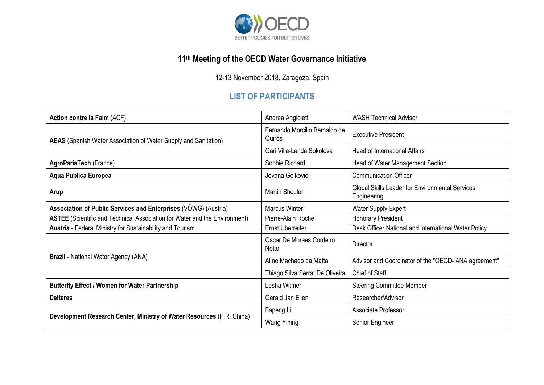

## **11 th Meeting of the OECD Water Governance Initiative**

12-13 November 2018, Zaragoza, Spain

## **LIST OF PARTICIPANTS**

| Action contre la Faim (ACF)                                                       | Andrea Angioletti                       | <b>WASH Technical Advisor</b>                                         |
|-----------------------------------------------------------------------------------|-----------------------------------------|-----------------------------------------------------------------------|
| <b>AEAS</b> (Spanish Water Association of Water Supply and Sanitation)            | Fernando Morcillo Bernaldo de<br>Quirós | <b>Executive President</b>                                            |
|                                                                                   | Gari Villa-Landa Sokolova               | <b>Head of International Affairs</b>                                  |
| <b>AgroParisTech (France)</b>                                                     | Sophie Richard                          | Head of Water Management Section                                      |
| Aqua Publica Europea                                                              | Jovana Gojkovic                         | <b>Communication Officer</b>                                          |
| Arup                                                                              | <b>Martin Shouler</b>                   | <b>Global Skills Leader for Environmental Services</b><br>Engineering |
| Association of Public Services and Enterprises (VOWG) (Austria)                   | <b>Marcus Winter</b>                    | <b>Water Supply Expert</b>                                            |
| <b>ASTEE</b> (Scientific and Technical Association for Water and the Environment) | Pierre-Alain Roche                      | Honorary President                                                    |
| <b>Austria</b> - Federal Ministry for Sustainability and Tourism                  | <b>Ernst Uberreiter</b>                 | Desk Officer National and International Water Policy                  |
| <b>Brazil</b> - National Water Agency (ANA)                                       | Oscar De Moraes Cordeiro<br>Netto       | Director                                                              |
|                                                                                   | Aline Machado da Matta                  | Advisor and Coordinator of the "OECD-ANA agreement"                   |
|                                                                                   | Thiago Silva Serrat De Oliveira         | Chief of Staff                                                        |
| <b>Butterfly Effect / Women for Water Partnership</b>                             | Lesha Witmer                            | <b>Steering Committee Member</b>                                      |
| <b>Deltares</b>                                                                   | Gerald Jan Ellen                        | Researcher/Advisor                                                    |
| Development Research Center, Ministry of Water Resources (P.R. China)             | Fapeng Li                               | Associate Professor                                                   |
|                                                                                   | Wang Yining                             | Senior Engineer                                                       |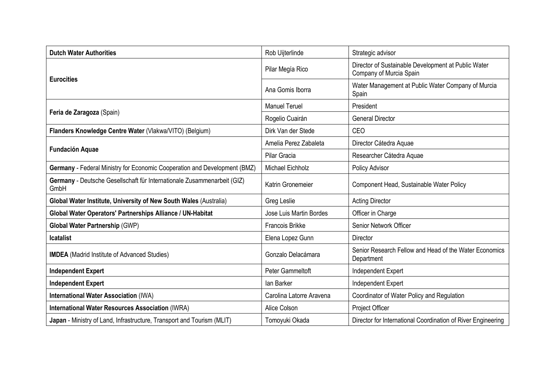| <b>Dutch Water Authorities</b>                                                  | Rob Uijterlinde                | Strategic advisor                                                              |
|---------------------------------------------------------------------------------|--------------------------------|--------------------------------------------------------------------------------|
| <b>Eurocities</b>                                                               | Pilar Megía Rico               | Director of Sustainable Development at Public Water<br>Company of Murcia Spain |
|                                                                                 | Ana Gomis Iborra               | Water Management at Public Water Company of Murcia<br>Spain                    |
| Feria de Zaragoza (Spain)                                                       | <b>Manuel Teruel</b>           | President                                                                      |
|                                                                                 | Rogelio Cuairán                | <b>General Director</b>                                                        |
| Flanders Knowledge Centre Water (Vlakwa/VITO) (Belgium)                         | Dirk Van der Stede             | CEO                                                                            |
| <b>Fundación Aquae</b>                                                          | Amelia Perez Zabaleta          | Director Cátedra Aquae                                                         |
|                                                                                 | Pilar Gracia                   | Researcher Cátedra Aquae                                                       |
| Germany - Federal Ministry for Economic Cooperation and Development (BMZ)       | Michael Eichholz               | Policy Advisor                                                                 |
| Germany - Deutsche Gesellschaft für Internationale Zusammenarbeit (GIZ)<br>GmbH | Katrin Gronemeier              | Component Head, Sustainable Water Policy                                       |
| Global Water Institute, University of New South Wales (Australia)               | Greg Leslie                    | <b>Acting Director</b>                                                         |
| Global Water Operators' Partnerships Alliance / UN-Habitat                      | <b>Jose Luis Martin Bordes</b> | Officer in Charge                                                              |
| <b>Global Water Partnership (GWP)</b>                                           | Francois Brikke                | Senior Network Officer                                                         |
| <b>Icatalist</b>                                                                | Elena Lopez Gunn               | <b>Director</b>                                                                |
| <b>IMDEA</b> (Madrid Institute of Advanced Studies)                             | Gonzalo Delacámara             | Senior Research Fellow and Head of the Water Economics<br>Department           |
| <b>Independent Expert</b>                                                       | Peter Gammeltoft               | Independent Expert                                                             |
| <b>Independent Expert</b>                                                       | lan Barker                     | Independent Expert                                                             |
| <b>International Water Association (IWA)</b>                                    | Carolina Latorre Aravena       | Coordinator of Water Policy and Regulation                                     |
| <b>International Water Resources Association (IWRA)</b>                         | Alice Colson                   | Project Officer                                                                |
| Japan - Ministry of Land, Infrastructure, Transport and Tourism (MLIT)          | Tomoyuki Okada                 | Director for International Coordination of River Engineering                   |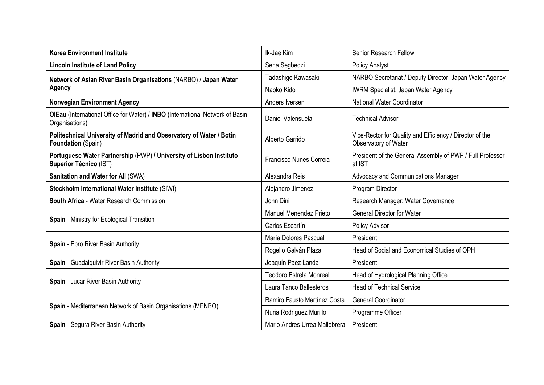| <b>Korea Environment Institute</b>                                                                   | Ik-Jae Kim                     | Senior Research Fellow                                                           |
|------------------------------------------------------------------------------------------------------|--------------------------------|----------------------------------------------------------------------------------|
| <b>Lincoln Institute of Land Policy</b>                                                              | Sena Segbedzi                  | <b>Policy Analyst</b>                                                            |
| Network of Asian River Basin Organisations (NARBO) / Japan Water<br><b>Agency</b>                    | Tadashige Kawasaki             | NARBO Secretariat / Deputy Director, Japan Water Agency                          |
|                                                                                                      | Naoko Kido                     | <b>IWRM Specialist, Japan Water Agency</b>                                       |
| <b>Norwegian Environment Agency</b>                                                                  | Anders Iversen                 | National Water Coordinator                                                       |
| OIEau (International Office for Water) / INBO (International Network of Basin<br>Organisations)      | Daniel Valensuela              | <b>Technical Advisor</b>                                                         |
| Politechnical University of Madrid and Observatory of Water / Botin<br>Foundation (Spain)            | Alberto Garrido                | Vice-Rector for Quality and Efficiency / Director of the<br>Observatory of Water |
| Portuguese Water Partnership (PWP) / University of Lisbon Instituto<br><b>Superior Técnico (IST)</b> | Francisco Nunes Correia        | President of the General Assembly of PWP / Full Professor<br>at IST              |
| Sanitation and Water for All (SWA)                                                                   | Alexandra Reis                 | Advocacy and Communications Manager                                              |
| Stockholm International Water Institute (SIWI)                                                       | Alejandro Jimenez              | Program Director                                                                 |
| South Africa - Water Research Commission                                                             | John Dini                      | Research Manager: Water Governance                                               |
| Spain - Ministry for Ecological Transition                                                           | <b>Manuel Menendez Prieto</b>  | <b>General Director for Water</b>                                                |
|                                                                                                      | Carlos Escartín                | Policy Advisor                                                                   |
| Spain - Ebro River Basin Authority                                                                   | María Dolores Pascual          | President                                                                        |
|                                                                                                      | Rogelio Galván Plaza           | Head of Social and Economical Studies of OPH                                     |
| Spain - Guadalquivir River Basin Authority                                                           | Joaquín Paez Landa             | President                                                                        |
| Spain - Jucar River Basin Authority                                                                  | <b>Teodoro Estrela Monreal</b> | Head of Hydrological Planning Office                                             |
|                                                                                                      | Laura Tanco Ballesteros        | <b>Head of Technical Service</b>                                                 |
| Spain - Mediterranean Network of Basin Organisations (MENBO)                                         | Ramiro Fausto Martínez Costa   | <b>General Coordinator</b>                                                       |
|                                                                                                      | Nuria Rodriguez Murillo        | Programme Officer                                                                |
| Spain - Segura River Basin Authority                                                                 | Mario Andres Urrea Mallebrera  | President                                                                        |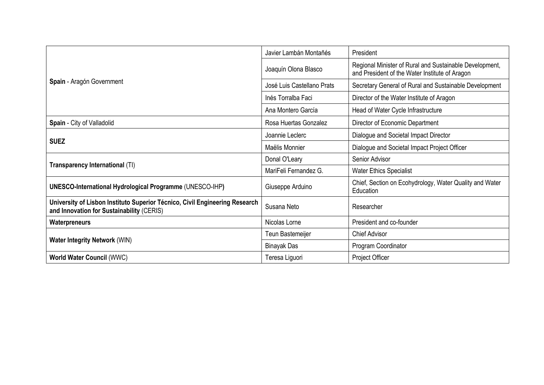| Spain - Aragón Government                                                                                                | Javier Lambán Montañés     | President                                                                                                 |
|--------------------------------------------------------------------------------------------------------------------------|----------------------------|-----------------------------------------------------------------------------------------------------------|
|                                                                                                                          | Joaquín Olona Blasco       | Regional Minister of Rural and Sustainable Development,<br>and President of the Water Institute of Aragon |
|                                                                                                                          | José Luis Castellano Prats | Secretary General of Rural and Sustainable Development                                                    |
|                                                                                                                          | Inés Torralba Faci         | Director of the Water Institute of Aragon                                                                 |
|                                                                                                                          | Ana Montero García         | Head of Water Cycle Infrastructure                                                                        |
| Spain - City of Valladolid                                                                                               | Rosa Huertas Gonzalez      | Director of Economic Department                                                                           |
| <b>SUEZ</b>                                                                                                              | Joannie Leclerc            | Dialogue and Societal Impact Director                                                                     |
|                                                                                                                          | Maëlis Monnier             | Dialogue and Societal Impact Project Officer                                                              |
| Transparency International (TI)                                                                                          | Donal O'Leary              | Senior Advisor                                                                                            |
|                                                                                                                          | MariFeli Fernandez G.      | <b>Water Ethics Specialist</b>                                                                            |
| <b>UNESCO-International Hydrological Programme (UNESCO-IHP)</b>                                                          | Giuseppe Arduino           | Chief, Section on Ecohydrology, Water Quality and Water<br>Education                                      |
| University of Lisbon Instituto Superior Técnico, Civil Engineering Research<br>and Innovation for Sustainability (CERIS) | Susana Neto                | Researcher                                                                                                |
| Waterpreneurs                                                                                                            | Nicolas Lorne              | President and co-founder                                                                                  |
| <b>Water Integrity Network (WIN)</b>                                                                                     | Teun Bastemeijer           | <b>Chief Advisor</b>                                                                                      |
|                                                                                                                          | Binayak Das                | Program Coordinator                                                                                       |
| <b>World Water Council (WWC)</b>                                                                                         | Teresa Liguori             | <b>Project Officer</b>                                                                                    |